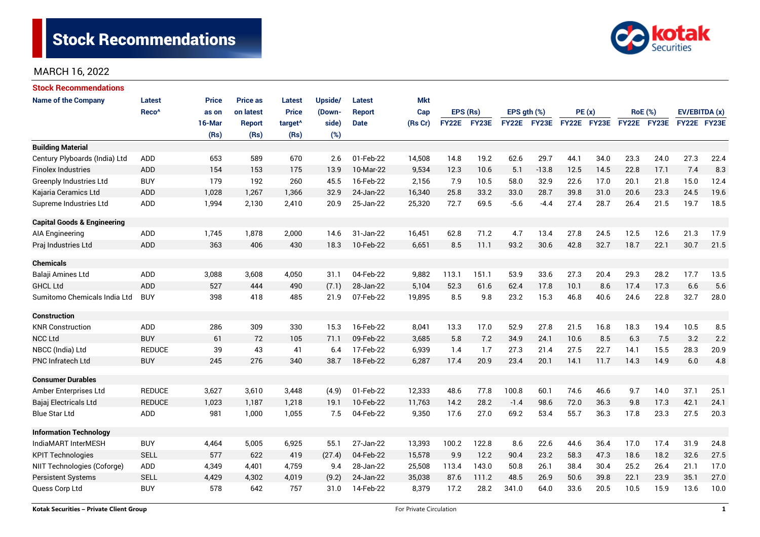

| <b>Stock Recommendations</b>           |                   |              |                 |                     |         |               |            |              |       |                  |             |             |      |                |      |               |      |
|----------------------------------------|-------------------|--------------|-----------------|---------------------|---------|---------------|------------|--------------|-------|------------------|-------------|-------------|------|----------------|------|---------------|------|
| <b>Name of the Company</b>             | <b>Latest</b>     | <b>Price</b> | <b>Price as</b> | Latest              | Upside/ | <b>Latest</b> | <b>Mkt</b> |              |       |                  |             |             |      |                |      |               |      |
|                                        | Reco <sup>^</sup> | as on        | on latest       | <b>Price</b>        | (Down-  | Report        | Cap        | EPS (Rs)     |       | EPS $qth$ $(\%)$ |             | PE(x)       |      | <b>RoE</b> (%) |      | EV/EBITDA (x) |      |
|                                        |                   | 16-Mar       | <b>Report</b>   | target <sup>^</sup> | side)   | <b>Date</b>   | (Rs Cr)    | <b>FY22E</b> | FY23E |                  | FY22E FY23E | FY22E FY23E |      | FY22E FY23E    |      | FY22E FY23E   |      |
|                                        |                   | (Rs)         | (Rs)            | (Rs)                | (%)     |               |            |              |       |                  |             |             |      |                |      |               |      |
| <b>Building Material</b>               |                   |              |                 |                     |         |               |            |              |       |                  |             |             |      |                |      |               |      |
| Century Plyboards (India) Ltd          | <b>ADD</b>        | 653          | 589             | 670                 | 2.6     | 01-Feb-22     | 14,508     | 14.8         | 19.2  | 62.6             | 29.7        | 44.1        | 34.0 | 23.3           | 24.0 | 27.3          | 22.4 |
| <b>Finolex Industries</b>              | <b>ADD</b>        | 154          | 153             | 175                 | 13.9    | 10-Mar-22     | 9,534      | 12.3         | 10.6  | 5.1              | $-13.8$     | 12.5        | 14.5 | 22.8           | 17.1 | 7.4           | 8.3  |
| <b>Greenply Industries Ltd</b>         | <b>BUY</b>        | 179          | 192             | 260                 | 45.5    | 16-Feb-22     | 2,156      | 7.9          | 10.5  | 58.0             | 32.9        | 22.6        | 17.0 | 20.1           | 21.8 | 15.0          | 12.4 |
| Kajaria Ceramics Ltd                   | <b>ADD</b>        | 1,028        | 1.267           | 1,366               | 32.9    | 24-Jan-22     | 16,340     | 25.8         | 33.2  | 33.0             | 28.7        | 39.8        | 31.0 | 20.6           | 23.3 | 24.5          | 19.6 |
| Supreme Industries Ltd                 | ADD               | 1,994        | 2,130           | 2,410               | 20.9    | 25-Jan-22     | 25,320     | 72.7         | 69.5  | $-5.6$           | $-4.4$      | 27.4        | 28.7 | 26.4           | 21.5 | 19.7          | 18.5 |
| <b>Capital Goods &amp; Engineering</b> |                   |              |                 |                     |         |               |            |              |       |                  |             |             |      |                |      |               |      |
| <b>AIA Engineering</b>                 | <b>ADD</b>        | 1,745        | 1,878           | 2,000               | 14.6    | 31-Jan-22     | 16,451     | 62.8         | 71.2  | 4.7              | 13.4        | 27.8        | 24.5 | 12.5           | 12.6 | 21.3          | 17.9 |
| Praj Industries Ltd                    | <b>ADD</b>        | 363          | 406             | 430                 | 18.3    | 10-Feb-22     | 6,651      | 8.5          | 11.1  | 93.2             | 30.6        | 42.8        | 32.7 | 18.7           | 22.1 | 30.7          | 21.5 |
| <b>Chemicals</b>                       |                   |              |                 |                     |         |               |            |              |       |                  |             |             |      |                |      |               |      |
| Balaji Amines Ltd                      | <b>ADD</b>        | 3,088        | 3,608           | 4,050               | 31.1    | 04-Feb-22     | 9,882      | 113.1        | 151.1 | 53.9             | 33.6        | 27.3        | 20.4 | 29.3           | 28.2 | 17.7          | 13.5 |
| <b>GHCL Ltd</b>                        | <b>ADD</b>        | 527          | 444             | 490                 | (7.1)   | 28-Jan-22     | 5,104      | 52.3         | 61.6  | 62.4             | 17.8        | 10.1        | 8.6  | 17.4           | 17.3 | 6.6           | 5.6  |
| Sumitomo Chemicals India Ltd           | <b>BUY</b>        | 398          | 418             | 485                 | 21.9    | 07-Feb-22     | 19,895     | 8.5          | 9.8   | 23.2             | 15.3        | 46.8        | 40.6 | 24.6           | 22.8 | 32.7          | 28.0 |
| <b>Construction</b>                    |                   |              |                 |                     |         |               |            |              |       |                  |             |             |      |                |      |               |      |
| <b>KNR Construction</b>                | <b>ADD</b>        | 286          | 309             | 330                 | 15.3    | 16-Feb-22     | 8,041      | 13.3         | 17.0  | 52.9             | 27.8        | 21.5        | 16.8 | 18.3           | 19.4 | 10.5          | 8.5  |
| <b>NCC Ltd</b>                         | <b>BUY</b>        | 61           | 72              | 105                 | 71.1    | 09-Feb-22     | 3,685      | 5.8          | 7.2   | 34.9             | 24.1        | 10.6        | 8.5  | 6.3            | 7.5  | 3.2           | 2.2  |
| NBCC (India) Ltd                       | <b>REDUCE</b>     | 39           | 43              | 41                  | 6.4     | 17-Feb-22     | 6,939      | 1.4          | 1.7   | 27.3             | 21.4        | 27.5        | 22.7 | 14.1           | 15.5 | 28.3          | 20.9 |
| <b>PNC Infratech Ltd</b>               | <b>BUY</b>        | 245          | 276             | 340                 | 38.7    | 18-Feb-22     | 6,287      | 17.4         | 20.9  | 23.4             | 20.1        | 14.1        | 11.7 | 14.3           | 14.9 | 6.0           | 4.8  |
| <b>Consumer Durables</b>               |                   |              |                 |                     |         |               |            |              |       |                  |             |             |      |                |      |               |      |
| Amber Enterprises Ltd                  | <b>REDUCE</b>     | 3,627        | 3,610           | 3,448               | (4.9)   | 01-Feb-22     | 12,333     | 48.6         | 77.8  | 100.8            | 60.1        | 74.6        | 46.6 | 9.7            | 14.0 | 37.1          | 25.1 |
| Bajaj Electricals Ltd                  | <b>REDUCE</b>     | 1,023        | 1,187           | 1,218               | 19.1    | 10-Feb-22     | 11,763     | 14.2         | 28.2  | $-1.4$           | 98.6        | 72.0        | 36.3 | 9.8            | 17.3 | 42.1          | 24.1 |
| <b>Blue Star Ltd</b>                   | <b>ADD</b>        | 981          | 1,000           | 1,055               | 7.5     | 04-Feb-22     | 9,350      | 17.6         | 27.0  | 69.2             | 53.4        | 55.7        | 36.3 | 17.8           | 23.3 | 27.5          | 20.3 |
| <b>Information Technology</b>          |                   |              |                 |                     |         |               |            |              |       |                  |             |             |      |                |      |               |      |
| IndiaMART InterMESH                    | <b>BUY</b>        | 4,464        | 5,005           | 6,925               | 55.1    | 27-Jan-22     | 13,393     | 100.2        | 122.8 | 8.6              | 22.6        | 44.6        | 36.4 | 17.0           | 17.4 | 31.9          | 24.8 |
| <b>KPIT Technologies</b>               | <b>SELL</b>       | 577          | 622             | 419                 | (27.4)  | 04-Feb-22     | 15,578     | 9.9          | 12.2  | 90.4             | 23.2        | 58.3        | 47.3 | 18.6           | 18.2 | 32.6          | 27.5 |
| NIIT Technologies (Coforge)            | ADD               | 4,349        | 4,401           | 4,759               | 9.4     | 28-Jan-22     | 25,508     | 113.4        | 143.0 | 50.8             | 26.1        | 38.4        | 30.4 | 25.2           | 26.4 | 21.1          | 17.0 |
| <b>Persistent Systems</b>              | <b>SELL</b>       | 4,429        | 4,302           | 4,019               | (9.2)   | 24-Jan-22     | 35,038     | 87.6         | 111.2 | 48.5             | 26.9        | 50.6        | 39.8 | 22.1           | 23.9 | 35.1          | 27.0 |
| Quess Corp Ltd                         | <b>BUY</b>        | 578          | 642             | 757                 | 31.0    | 14-Feb-22     | 8,379      | 17.2         | 28.2  | 341.0            | 64.0        | 33.6        | 20.5 | 10.5           | 15.9 | 13.6          | 10.0 |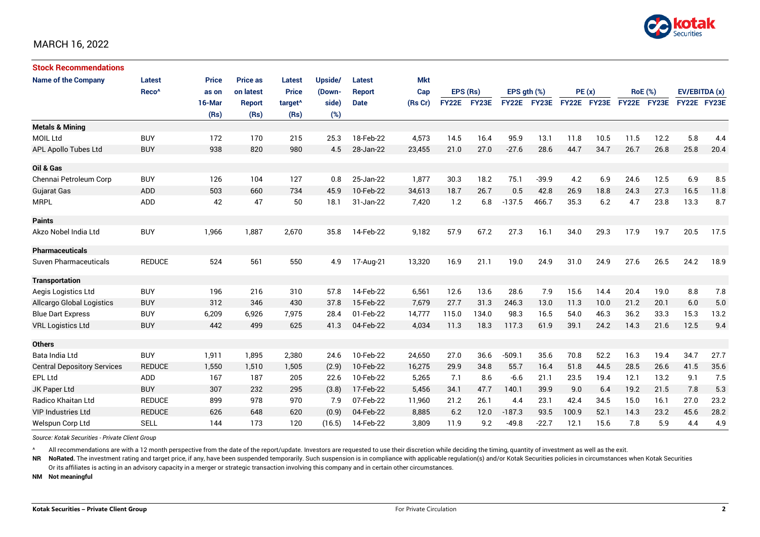

| <b>Stock Recommendations</b>       |                   |              |                 |                     |         |               |            |              |       |                  |              |             |      |                |      |               |      |
|------------------------------------|-------------------|--------------|-----------------|---------------------|---------|---------------|------------|--------------|-------|------------------|--------------|-------------|------|----------------|------|---------------|------|
| <b>Name of the Company</b>         | Latest            | <b>Price</b> | <b>Price as</b> | Latest              | Upside/ | <b>Latest</b> | <b>Mkt</b> | EPS (Rs)     |       |                  |              |             |      |                |      |               |      |
|                                    | Reco <sup>^</sup> | as on        | on latest       | <b>Price</b>        | (Down-  | <b>Report</b> | Cap        |              |       | EPS $gth$ $(\%)$ |              | PE(x)       |      | <b>RoE</b> (%) |      | EV/EBITDA (x) |      |
|                                    |                   | 16-Mar       | Report          | target <sup>^</sup> | side)   | <b>Date</b>   | (Rs Cr)    | <b>FY22E</b> | FY23E | <b>FY22E</b>     | <b>FY23E</b> | FY22E FY23E |      | FY22E FY23E    |      | FY22E FY23E   |      |
|                                    |                   | (Rs)         | (Rs)            | (Rs)                | (%)     |               |            |              |       |                  |              |             |      |                |      |               |      |
| <b>Metals &amp; Mining</b>         |                   |              |                 |                     |         |               |            |              |       |                  |              |             |      |                |      |               |      |
| <b>MOIL Ltd</b>                    | <b>BUY</b>        | 172          | 170             | 215                 | 25.3    | 18-Feb-22     | 4,573      | 14.5         | 16.4  | 95.9             | 13.1         | 11.8        | 10.5 | 11.5           | 12.2 | 5.8           | 4.4  |
| APL Apollo Tubes Ltd               | <b>BUY</b>        | 938          | 820             | 980                 | 4.5     | 28-Jan-22     | 23,455     | 21.0         | 27.0  | $-27.6$          | 28.6         | 44.7        | 34.7 | 26.7           | 26.8 | 25.8          | 20.4 |
| Oil & Gas                          |                   |              |                 |                     |         |               |            |              |       |                  |              |             |      |                |      |               |      |
| Chennai Petroleum Corp             | <b>BUY</b>        | 126          | 104             | 127                 | 0.8     | 25-Jan-22     | 1.877      | 30.3         | 18.2  | 75.1             | $-39.9$      | 4.2         | 6.9  | 24.6           | 12.5 | 6.9           | 8.5  |
| <b>Gujarat Gas</b>                 | <b>ADD</b>        | 503          | 660             | 734                 | 45.9    | 10-Feb-22     | 34,613     | 18.7         | 26.7  | 0.5              | 42.8         | 26.9        | 18.8 | 24.3           | 27.3 | 16.5          | 11.8 |
| <b>MRPL</b>                        | ADD               | 42           | 47              | 50                  | 18.1    | 31-Jan-22     | 7,420      | 1.2          | 6.8   | $-137.5$         | 466.7        | 35.3        | 6.2  | 4.7            | 23.8 | 13.3          | 8.7  |
| <b>Paints</b>                      |                   |              |                 |                     |         |               |            |              |       |                  |              |             |      |                |      |               |      |
| Akzo Nobel India Ltd               | <b>BUY</b>        | 1,966        | 1,887           | 2,670               | 35.8    | 14-Feb-22     | 9,182      | 57.9         | 67.2  | 27.3             | 16.1         | 34.0        | 29.3 | 17.9           | 19.7 | 20.5          | 17.5 |
| <b>Pharmaceuticals</b>             |                   |              |                 |                     |         |               |            |              |       |                  |              |             |      |                |      |               |      |
| <b>Suven Pharmaceuticals</b>       | <b>REDUCE</b>     | 524          | 561             | 550                 | 4.9     | 17-Aug-21     | 13,320     | 16.9         | 21.1  | 19.0             | 24.9         | 31.0        | 24.9 | 27.6           | 26.5 | 24.2          | 18.9 |
| <b>Transportation</b>              |                   |              |                 |                     |         |               |            |              |       |                  |              |             |      |                |      |               |      |
| Aegis Logistics Ltd                | <b>BUY</b>        | 196          | 216             | 310                 | 57.8    | 14-Feb-22     | 6,561      | 12.6         | 13.6  | 28.6             | 7.9          | 15.6        | 14.4 | 20.4           | 19.0 | 8.8           | 7.8  |
| <b>Allcargo Global Logistics</b>   | <b>BUY</b>        | 312          | 346             | 430                 | 37.8    | 15-Feb-22     | 7,679      | 27.7         | 31.3  | 246.3            | 13.0         | 11.3        | 10.0 | 21.2           | 20.1 | 6.0           | 5.0  |
| <b>Blue Dart Express</b>           | <b>BUY</b>        | 6,209        | 6,926           | 7,975               | 28.4    | 01-Feb-22     | 14,777     | 115.0        | 134.0 | 98.3             | 16.5         | 54.0        | 46.3 | 36.2           | 33.3 | 15.3          | 13.2 |
| <b>VRL Logistics Ltd</b>           | <b>BUY</b>        | 442          | 499             | 625                 | 41.3    | 04-Feb-22     | 4,034      | 11.3         | 18.3  | 117.3            | 61.9         | 39.1        | 24.2 | 14.3           | 21.6 | 12.5          | 9.4  |
| <b>Others</b>                      |                   |              |                 |                     |         |               |            |              |       |                  |              |             |      |                |      |               |      |
| Bata India Ltd                     | <b>BUY</b>        | 1,911        | 1,895           | 2,380               | 24.6    | 10-Feb-22     | 24,650     | 27.0         | 36.6  | $-509.1$         | 35.6         | 70.8        | 52.2 | 16.3           | 19.4 | 34.7          | 27.7 |
| <b>Central Depository Services</b> | <b>REDUCE</b>     | 1,550        | 1,510           | 1,505               | (2.9)   | 10-Feb-22     | 16,275     | 29.9         | 34.8  | 55.7             | 16.4         | 51.8        | 44.5 | 28.5           | 26.6 | 41.5          | 35.6 |
| <b>EPL Ltd</b>                     | ADD               | 167          | 187             | 205                 | 22.6    | 10-Feb-22     | 5,265      | 7.1          | 8.6   | $-6.6$           | 21.1         | 23.5        | 19.4 | 12.1           | 13.2 | 9.1           | 7.5  |
| JK Paper Ltd                       | <b>BUY</b>        | 307          | 232             | 295                 | (3.8)   | 17-Feb-22     | 5,456      | 34.1         | 47.7  | 140.1            | 39.9         | 9.0         | 6.4  | 19.2           | 21.5 | 7.8           | 5.3  |
| Radico Khaitan Ltd                 | <b>REDUCE</b>     | 899          | 978             | 970                 | 7.9     | 07-Feb-22     | 11,960     | 21.2         | 26.1  | 4.4              | 23.1         | 42.4        | 34.5 | 15.0           | 16.1 | 27.0          | 23.2 |
| <b>VIP Industries Ltd</b>          | <b>REDUCE</b>     | 626          | 648             | 620                 | (0.9)   | 04-Feb-22     | 8,885      | 6.2          | 12.0  | $-187.3$         | 93.5         | 100.9       | 52.1 | 14.3           | 23.2 | 45.6          | 28.2 |
| Welspun Corp Ltd                   | <b>SELL</b>       | 144          | 173             | 120                 | (16.5)  | 14-Feb-22     | 3,809      | 11.9         | 9.2   | $-49.8$          | $-22.7$      | 12.1        | 15.6 | 7.8            | 5.9  | 4.4           | 4.9  |

*Source: Kotak Securities - Private Client Group*

All recommendations are with a 12 month perspective from the date of the report/update. Investors are requested to use their discretion while deciding the timing, quantity of investment as well as the exit.

NR NoRated. The investment rating and target price, if any, have been suspended temporarily. Such suspension is in compliance with applicable regulation(s) and/or Kotak Securities policies in circumstances when Kotak Secur Or its affiliates is acting in an advisory capacity in a merger or strategic transaction involving this company and in certain other circumstances.

**NM Not meaningful**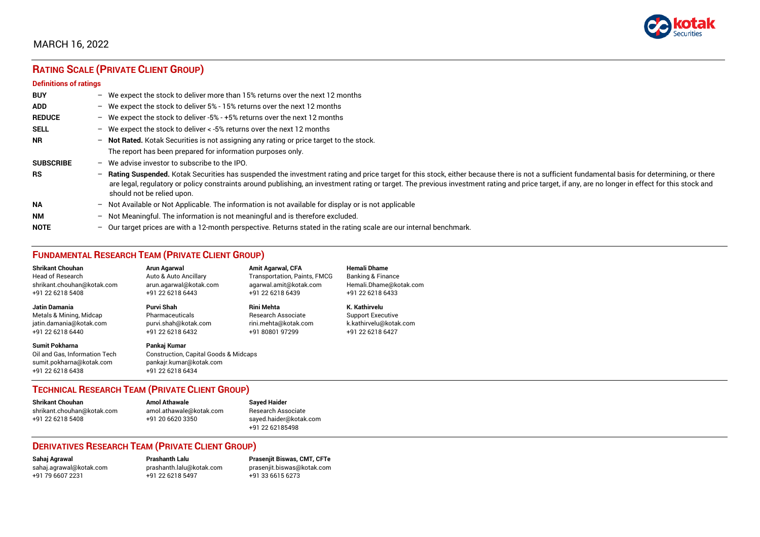

# **RATING SCALE (PRIVATE CLIENT GROUP)**

#### **Definitions of ratings**

| <b>BUY</b>       |   | - We expect the stock to deliver more than 15% returns over the next 12 months                                                                                                                                                                                                                                                                                                                                                     |
|------------------|---|------------------------------------------------------------------------------------------------------------------------------------------------------------------------------------------------------------------------------------------------------------------------------------------------------------------------------------------------------------------------------------------------------------------------------------|
| <b>ADD</b>       |   | - We expect the stock to deliver 5% - 15% returns over the next 12 months                                                                                                                                                                                                                                                                                                                                                          |
| <b>REDUCE</b>    |   | - We expect the stock to deliver -5% - +5% returns over the next 12 months                                                                                                                                                                                                                                                                                                                                                         |
| <b>SELL</b>      |   | - We expect the stock to deliver $\lt$ -5% returns over the next 12 months                                                                                                                                                                                                                                                                                                                                                         |
| <b>NR</b>        |   | - Not Rated. Kotak Securities is not assigning any rating or price target to the stock.                                                                                                                                                                                                                                                                                                                                            |
|                  |   | The report has been prepared for information purposes only.                                                                                                                                                                                                                                                                                                                                                                        |
| <b>SUBSCRIBE</b> |   | $-$ We advise investor to subscribe to the IPO.                                                                                                                                                                                                                                                                                                                                                                                    |
| <b>RS</b>        |   | - Rating Suspended. Kotak Securities has suspended the investment rating and price target for this stock, either because there is not a sufficient fundamental basis for determining, or there<br>are legal, regulatory or policy constraints around publishing, an investment rating or target. The previous investment rating and price target, if any, are no longer in effect for this stock and<br>should not be relied upon. |
| <b>NA</b>        |   | $-$ Not Available or Not Applicable. The information is not available for display or is not applicable                                                                                                                                                                                                                                                                                                                             |
| <b>NM</b>        |   | - Not Meaningful. The information is not meaningful and is therefore excluded.                                                                                                                                                                                                                                                                                                                                                     |
| <b>NOTE</b>      | - | Our target prices are with a 12-month perspective. Returns stated in the rating scale are our internal benchmark.                                                                                                                                                                                                                                                                                                                  |

## **FUNDAMENTAL RESEARCH TEAM (PRIVATE CLIENT GROUP)**

| <b>Shrikant Chouhan</b>                                                                                | Arun Agarwal                                                                                         | <b>Amit Agarwal, CFA</b>            | <b>Hemali Dhame</b>          |
|--------------------------------------------------------------------------------------------------------|------------------------------------------------------------------------------------------------------|-------------------------------------|------------------------------|
| <b>Head of Research</b>                                                                                | Auto & Auto Ancillary                                                                                | <b>Transportation, Paints, FMCG</b> | <b>Banking &amp; Finance</b> |
| shrikant.chouhan@kotak.com                                                                             | arun.agarwal@kotak.com                                                                               | agarwal.amit@kotak.com              | Hemali.Dhame@kotak.com       |
| +91 22 6218 5408                                                                                       | +91 22 6218 6443                                                                                     | +91 22 6218 6439                    | +91 22 6218 6433             |
| <b>Jatin Damania</b>                                                                                   | Purvi Shah                                                                                           | <b>Rini Mehta</b>                   | K. Kathirvelu                |
| Metals & Mining, Midcap                                                                                | Pharmaceuticals                                                                                      | <b>Research Associate</b>           | <b>Support Executive</b>     |
| jatin.damania@kotak.com                                                                                | purvi.shah@kotak.com                                                                                 | rini.mehta@kotak.com                | k.kathirvelu@kotak.com       |
| +91 22 6218 6440                                                                                       | +91 22 6218 6432                                                                                     | +91 80801 97299                     | +91 22 6218 6427             |
| <b>Sumit Pokharna</b><br>Oil and Gas. Information Tech<br>sumit.pokharna@kotak.com<br>+91 22 6218 6438 | Pankai Kumar<br>Construction, Capital Goods & Midcaps<br>pankajr.kumar@kotak.com<br>+91 22 6218 6434 |                                     |                              |

## **TECHNICAL RESEARCH TEAM (PRIVATE CLIENT GROUP)**

| <b>Shrikant Chouhan</b>    | <b>Amol Athawale</b>    |  |
|----------------------------|-------------------------|--|
| shrikant.chouhan@kotak.com | amol.athawale@kotak.com |  |
| +91 22 6218 5408           | +91 20 6620 3350        |  |
|                            |                         |  |

#### **Sayed Haider** Research Associate [sayed.haider@kotak.com](mailto:sayed.haider@kotak.com) +91 22 62185498

## **DERIVATIVES RESEARCH TEAM (PRIVATE CLIENT GROUP)**

[sahaj.agrawal@kotak.com](mailto:sahaj.agrawal@kotak.com) [prashanth.lalu@kotak.com](mailto:prashanth.lalu@kotak.com) [prasenjit.biswas@kotak.com](mailto:prasenjit.biswas@kotak.com) +91 22 6218 5497 +91 33 6615 6273

**Sahaj Agrawal Prashanth Lalu Prasenjit Biswas, CMT, CFTe**